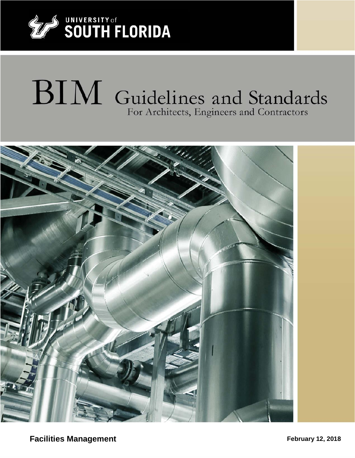

# **BIM** Guidelines and Standards For Architects, Engineers and Contractors



**Facilities Management Facilities Management February 12, 2018**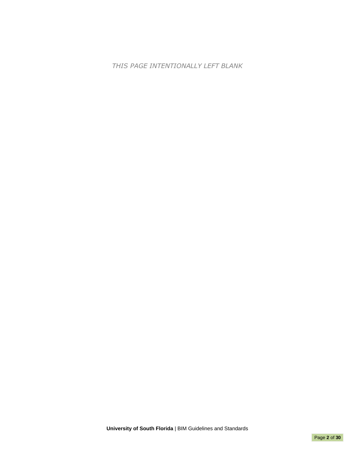*THIS PAGE INTENTIONALLY LEFT BLANK*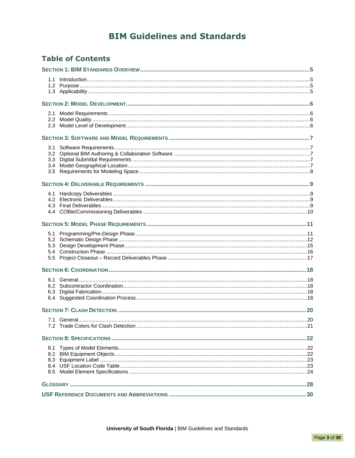# **BIM Guidelines and Standards**

# **Table of Contents**

| 2.1 |  |
|-----|--|
|     |  |
|     |  |
|     |  |
| 3.1 |  |
| 3.2 |  |
|     |  |
|     |  |
| 3.5 |  |
|     |  |
|     |  |
|     |  |
|     |  |
| 4.4 |  |
|     |  |
| 5.1 |  |
| 5.2 |  |
| 5.3 |  |
|     |  |
|     |  |
|     |  |
| 6.1 |  |
|     |  |
| 6.3 |  |
|     |  |
|     |  |
|     |  |
|     |  |
|     |  |
| 8.1 |  |
|     |  |
|     |  |
|     |  |
|     |  |
|     |  |
|     |  |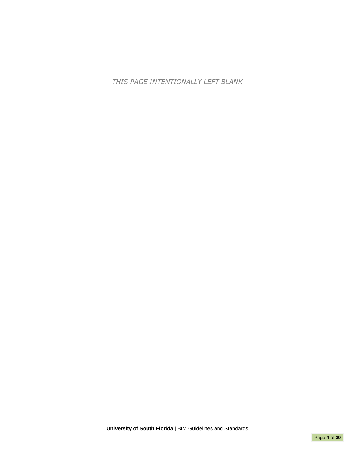*THIS PAGE INTENTIONALLY LEFT BLANK*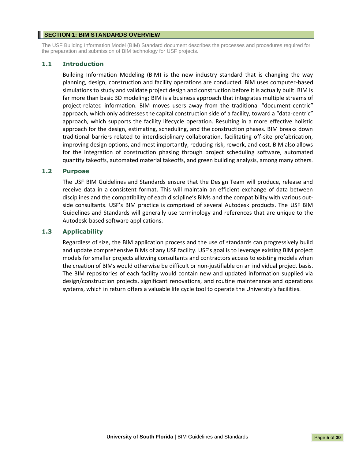#### **SECTION 1: BIM STANDARDS OVERVIEW**

The USF Building Information Model (BIM) Standard document describes the processes and procedures required for the preparation and submission of BIM technology for USF projects.

#### **1.1 Introduction**

Building Information Modeling (BIM) is the new industry standard that is changing the way planning, design, construction and facility operations are conducted. BIM uses computer-based simulations to study and validate project design and construction before it is actually built. BIM is far more than basic 3D modeling; BIM is a business approach that integrates multiple streams of project-related information. BIM moves users away from the traditional "document-centric" approach, which only addresses the capital construction side of a facility, toward a "data-centric" approach, which supports the facility lifecycle operation. Resulting in a more effective holistic approach for the design, estimating, scheduling, and the construction phases. BIM breaks down traditional barriers related to interdisciplinary collaboration, facilitating off-site prefabrication, improving design options, and most importantly, reducing risk, rework, and cost. BIM also allows for the integration of construction phasing through project scheduling software, automated quantity takeoffs, automated material takeoffs, and green building analysis, among many others.

#### **1.2 Purpose**

The USF BIM Guidelines and Standards ensure that the Design Team will produce, release and receive data in a consistent format. This will maintain an efficient exchange of data between disciplines and the compatibility of each discipline's BIMs and the compatibility with various outside consultants. USF's BIM practice is comprised of several Autodesk products. The USF BIM Guidelines and Standards will generally use terminology and references that are unique to the Autodesk-based software applications.

#### **1.3 Applicability**

Regardless of size, the BIM application process and the use of standards can progressively build and update comprehensive BIMs of any USF facility. USF's goal is to leverage existing BIM project models for smaller projects allowing consultants and contractors access to existing models when the creation of BIMs would otherwise be difficult or non-justifiable on an individual project basis. The BIM repositories of each facility would contain new and updated information supplied via design/construction projects, significant renovations, and routine maintenance and operations systems, which in return offers a valuable life cycle tool to operate the University's facilities.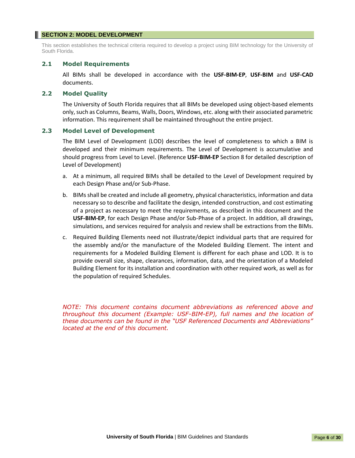#### **SECTION 2: MODEL DEVELOPMENT**

This section establishes the technical criteria required to develop a project using BIM technology for the University of South Florida.

#### **2.1 Model Requirements**

All BIMs shall be developed in accordance with the **USF-BIM-EP**, **USF-BIM** and **USF-CAD** documents.

#### **2.2 Model Quality**

The University of South Florida requires that all BIMs be developed using object-based elements only, such as Columns, Beams, Walls, Doors, Windows, etc. along with their associated parametric information. This requirement shall be maintained throughout the entire project.

#### **2.3 Model Level of Development**

The BIM Level of Development (LOD) describes the level of completeness to which a BIM is developed and their minimum requirements. The Level of Development is accumulative and should progress from Level to Level. (Reference **USF-BIM-EP** Section 8 for detailed description of Level of Development)

- a. At a minimum, all required BIMs shall be detailed to the Level of Development required by each Design Phase and/or Sub-Phase.
- b. BIMs shall be created and include all geometry, physical characteristics, information and data necessary so to describe and facilitate the design, intended construction, and cost estimating of a project as necessary to meet the requirements, as described in this document and the **USF-BIM-EP**, for each Design Phase and/or Sub-Phase of a project. In addition, all drawings, simulations, and services required for analysis and review shall be extractions from the BIMs.
- c. Required Building Elements need not illustrate/depict individual parts that are required for the assembly and/or the manufacture of the Modeled Building Element. The intent and requirements for a Modeled Building Element is different for each phase and LOD. It is to provide overall size, shape, clearances, information, data, and the orientation of a Modeled Building Element for its installation and coordination with other required work, as well as for the population of required Schedules.

*NOTE: This document contains document abbreviations as referenced above and throughout this document (Example: USF-BIM-EP), full names and the location of these documents can be found in the "USF Referenced Documents and Abbreviations" located at the end of this document.*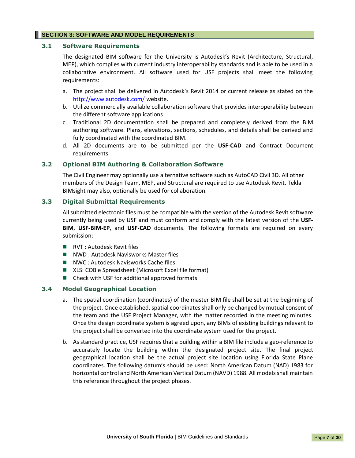#### **SECTION 3: SOFTWARE AND MODEL REQUIREMENTS**

#### **3.1 Software Requirements**

The designated BIM software for the University is Autodesk's Revit (Architecture, Structural, MEP), which complies with current industry interoperability standards and is able to be used in a collaborative environment. All software used for USF projects shall meet the following requirements:

- a. The project shall be delivered in Autodesk's Revit 2014 or current release as stated on the <http://www.autodesk.com/> website.
- b. Utilize commercially available collaboration software that provides interoperability between the different software applications
- c. Traditional 2D documentation shall be prepared and completely derived from the BIM authoring software. Plans, elevations, sections, schedules, and details shall be derived and fully coordinated with the coordinated BIM.
- d. All 2D documents are to be submitted per the **USF-CAD** and Contract Document requirements.

#### **3.2 Optional BIM Authoring & Collaboration Software**

The Civil Engineer may optionally use alternative software such as AutoCAD Civil 3D. All other members of the Design Team, MEP, and Structural are required to use Autodesk Revit. Tekla BIMsight may also, optionally be used for collaboration.

#### **3.3 Digital Submittal Requirements**

All submitted electronic files must be compatible with the version of the Autodesk Revit software currently being used by USF and must conform and comply with the latest version of the **USF-BIM**, **USF-BIM-EP**, and **USF-CAD** documents. The following formats are required on every submission:

- RVT : Autodesk Revit files
- NWD : Autodesk Navisworks Master files
- NWC : Autodesk Navisworks Cache files
- XLS: COBie Spreadsheet (Microsoft Excel file format)
- Check with USF for additional approved formats

#### **3.4 Model Geographical Location**

- a. The spatial coordination (coordinates) of the master BIM file shall be set at the beginning of the project. Once established, spatial coordinates shall only be changed by mutual consent of the team and the USF Project Manager, with the matter recorded in the meeting minutes. Once the design coordinate system is agreed upon, any BIMs of existing buildings relevant to the project shall be converted into the coordinate system used for the project.
- b. As standard practice, USF requires that a building within a BIM file include a geo-reference to accurately locate the building within the designated project site. The final project geographical location shall be the actual project site location using Florida State Plane coordinates. The following datum's should be used: North American Datum (NAD) 1983 for horizontal control and North American Vertical Datum (NAVD) 1988. All models shall maintain this reference throughout the project phases.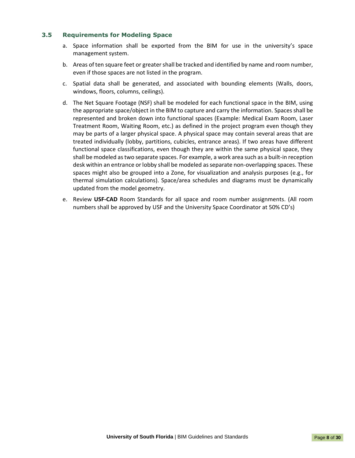# **3.5 Requirements for Modeling Space**

- a. Space information shall be exported from the BIM for use in the university's space management system.
- b. Areas of ten square feet or greater shall be tracked and identified by name and room number, even if those spaces are not listed in the program.
- c. Spatial data shall be generated, and associated with bounding elements (Walls, doors, windows, floors, columns, ceilings).
- d. The Net Square Footage (NSF) shall be modeled for each functional space in the BIM, using the appropriate space/object in the BIM to capture and carry the information. Spaces shall be represented and broken down into functional spaces (Example: Medical Exam Room, Laser Treatment Room, Waiting Room, etc.) as defined in the project program even though they may be parts of a larger physical space. A physical space may contain several areas that are treated individually (lobby, partitions, cubicles, entrance areas). If two areas have different functional space classifications, even though they are within the same physical space, they shall be modeled as two separate spaces. For example, a work area such as a built-in reception desk within an entrance or lobby shall be modeled as separate non-overlapping spaces. These spaces might also be grouped into a Zone, for visualization and analysis purposes (e.g., for thermal simulation calculations). Space/area schedules and diagrams must be dynamically updated from the model geometry.
- e. Review **USF-CAD** Room Standards for all space and room number assignments. (All room numbers shall be approved by USF and the University Space Coordinator at 50% CD's)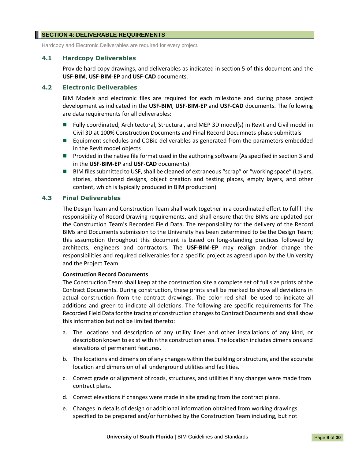#### **SECTION 4: DELIVERABLE REQUIREMENTS**

Hardcopy and Electronic Deliverables are required for every project.

#### **4.1 Hardcopy Deliverables**

Provide hard copy drawings, and deliverables as indicated in section 5 of this document and the **USF-BIM**, **USF-BIM-EP** and **USF-CAD** documents.

#### **4.2 Electronic Deliverables**

BIM Models and electronic files are required for each milestone and during phase project development as indicated in the **USF-BIM**, **USF-BIM-EP** and **USF-CAD** documents. The following are data requirements for all deliverables:

- Fully coordinated, Architectural, Structural, and MEP 3D model(s) in Revit and Civil model in Civil 3D at 100% Construction Documents and Final Record Documnets phase submittals
- Equipment schedules and COBie deliverables as generated from the parameters embedded in the Revit model objects
- Provided in the native file format used in the authoring software (As specified in section 3 and in the **USF-BIM-EP** and **USF-CAD** documents)
- BIM files submitted to USF, shall be cleaned of extraneous "scrap" or "working space" (Layers, stories, abandoned designs, object creation and testing places, empty layers, and other content, which is typically produced in BIM production)

#### **4.3 Final Deliverables**

The Design Team and Construction Team shall work together in a coordinated effort to fulfill the responsibility of Record Drawing requirements, and shall ensure that the BIMs are updated per the Construction Team's Recorded Field Data. The responsibility for the delivery of the Record BIMs and Documents submission to the University has been determined to be the Design Team; this assumption throughout this document is based on long-standing practices followed by architects, engineers and contractors. The **USF-BIM-EP** may realign and/or change the responsibilities and required deliverables for a specific project as agreed upon by the University and the Project Team.

#### **Construction Record Documents**

The Construction Team shall keep at the construction site a complete set of full size prints of the Contract Documents. During construction, these prints shall be marked to show all deviations in actual construction from the contract drawings. The color red shall be used to indicate all additions and green to indicate all deletions. The following are specific requirements for The Recorded Field Data for the tracing of construction changes to Contract Documents and shall show this information but not be limited thereto:

- a. The locations and description of any utility lines and other installations of any kind, or description known to exist within the construction area. The location includes dimensions and elevations of permanent features.
- b. The locations and dimension of any changes within the building or structure, and the accurate location and dimension of all underground utilities and facilities.
- c. Correct grade or alignment of roads, structures, and utilities if any changes were made from contract plans.
- d. Correct elevations if changes were made in site grading from the contract plans.
- e. Changes in details of design or additional information obtained from working drawings specified to be prepared and/or furnished by the Construction Team including, but not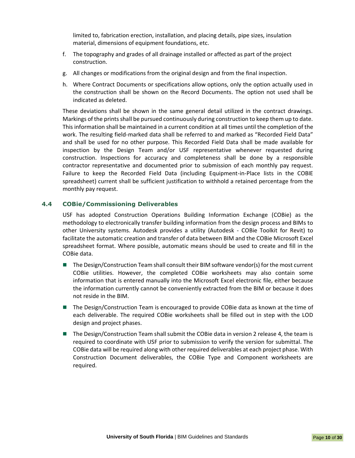limited to, fabrication erection, installation, and placing details, pipe sizes, insulation material, dimensions of equipment foundations, etc.

- f. The topography and grades of all drainage installed or affected as part of the project construction.
- g. All changes or modifications from the original design and from the final inspection.
- h. Where Contract Documents or specifications allow options, only the option actually used in the construction shall be shown on the Record Documents. The option not used shall be indicated as deleted.

These deviations shall be shown in the same general detail utilized in the contract drawings. Markings of the prints shall be pursued continuously during construction to keep them up to date. This information shall be maintained in a current condition at all times until the completion of the work. The resulting field-marked data shall be referred to and marked as "Recorded Field Data" and shall be used for no other purpose. This Recorded Field Data shall be made available for inspection by the Design Team and/or USF representative whenever requested during construction. Inspections for accuracy and completeness shall be done by a responsible contractor representative and documented prior to submission of each monthly pay request. Failure to keep the Recorded Field Data (including Equipment-in-Place lists in the COBIE spreadsheet) current shall be sufficient justification to withhold a retained percentage from the monthly pay request.

#### **4.4 COBie/Commissioning Deliverables**

USF has adopted Construction Operations Building Information Exchange (COBie) as the methodology to electronically transfer building information from the design process and BIMs to other University systems. Autodesk provides a utility (Autodesk - COBie Toolkit for Revit) to facilitate the automatic creation and transfer of data between BIM and the COBie Microsoft Excel spreadsheet format. Where possible, automatic means should be used to create and fill in the COBie data.

- $\blacksquare$  The Design/Construction Team shall consult their BIM software vendor(s) for the most current COBie utilities. However, the completed COBie worksheets may also contain some information that is entered manually into the Microsoft Excel electronic file, either because the information currently cannot be conveniently extracted from the BIM or because it does not reside in the BIM.
- The Design/Construction Team is encouraged to provide COBie data as known at the time of each deliverable. The required COBie worksheets shall be filled out in step with the LOD design and project phases.
- The Design/Construction Team shall submit the COBie data in version 2 release 4, the team is required to coordinate with USF prior to submission to verify the version for submittal. The COBie data will be required along with other required deliverables at each project phase. With Construction Document deliverables, the COBie Type and Component worksheets are required.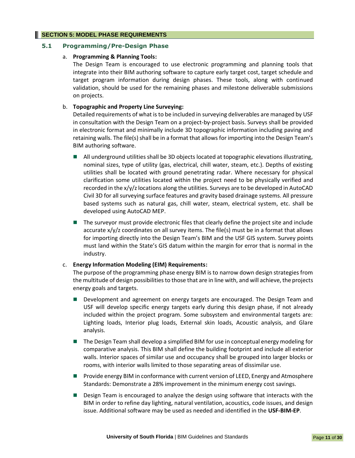#### **SECTION 5: MODEL PHASE REQUIREMENTS**

# **5.1 Programming/Pre-Design Phase**

#### a. **Programming & Planning Tools:**

The Design Team is encouraged to use electronic programming and planning tools that integrate into their BIM authoring software to capture early target cost, target schedule and target program information during design phases. These tools, along with continued validation, should be used for the remaining phases and milestone deliverable submissions on projects.

#### b. **Topographic and Property Line Surveying:**

Detailed requirements of what is to be included in surveying deliverables are managed by USF in consultation with the Design Team on a project-by-project basis. Surveys shall be provided in electronic format and minimally include 3D topographic information including paving and retaining walls. The file(s) shall be in a format that allows for importing into the Design Team's BIM authoring software.

- ◼ All underground utilities shall be 3D objects located at topographic elevations illustrating, nominal sizes, type of utility (gas, electrical, chill water, steam, etc.). Depths of existing utilities shall be located with ground penetrating radar. Where necessary for physical clarification some utilities located within the project need to be physically verified and recorded in the x/y/z locations along the utilities. Surveys are to be developed in AutoCAD Civil 3D for all surveying surface features and gravity based drainage systems. All pressure based systems such as natural gas, chill water, steam, electrical system, etc. shall be developed using AutoCAD MEP.
- The surveyor must provide electronic files that clearly define the project site and include accurate  $x/y/z$  coordinates on all survey items. The file(s) must be in a format that allows for importing directly into the Design Team's BIM and the USF GIS system. Survey points must land within the State's GIS datum within the margin for error that is normal in the industry.

#### c. **Energy Information Modeling (EIM) Requirements:**

The purpose of the programming phase energy BIM is to narrow down design strategies from the multitude of design possibilities to those that are in line with, and will achieve, the projects energy goals and targets.

- Development and agreement on energy targets are encouraged. The Design Team and USF will develop specific energy targets early during this design phase, if not already included within the project program. Some subsystem and environmental targets are: Lighting loads, Interior plug loads, External skin loads, Acoustic analysis, and Glare analysis.
- The Design Team shall develop a simplified BIM for use in conceptual energy modeling for comparative analysis. This BIM shall define the building footprint and include all exterior walls. Interior spaces of similar use and occupancy shall be grouped into larger blocks or rooms, with interior walls limited to those separating areas of dissimilar use.
- Provide energy BIM in conformance with current version of LEED, Energy and Atmosphere Standards: Demonstrate a 28% improvement in the minimum energy cost savings.
- Design Team is encouraged to analyze the design using software that interacts with the BIM in order to refine day lighting, natural ventilation, acoustics, code issues, and design issue. Additional software may be used as needed and identified in the **USF-BIM-EP**.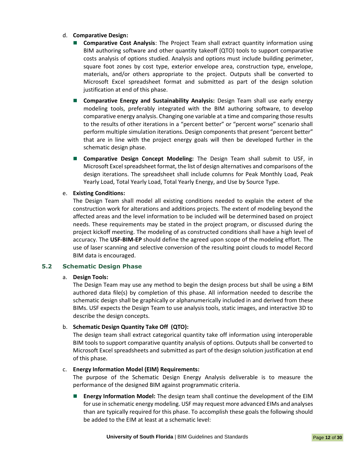#### d. **Comparative Design:**

- **Comparative Cost Analysis**: The Project Team shall extract quantity information using BIM authoring software and other quantity takeoff (QTO) tools to support comparative costs analysis of options studied. Analysis and options must include building perimeter, square foot zones by cost type, exterior envelope area, construction type, envelope, materials, and/or others appropriate to the project. Outputs shall be converted to Microsoft Excel spreadsheet format and submitted as part of the design solution justification at end of this phase.
- **Comparative Energy and Sustainability Analysis:** Design Team shall use early energy modeling tools, preferably integrated with the BIM authoring software, to develop comparative energy analysis. Changing one variable at a time and comparing those results to the results of other iterations in a "percent better" or "percent worse" scenario shall perform multiple simulation iterations. Design components that present "percent better" that are in line with the project energy goals will then be developed further in the schematic design phase.
- **Comparative Design Concept Modeling:** The Design Team shall submit to USF, in Microsoft Excel spreadsheet format, the list of design alternatives and comparisons of the design iterations. The spreadsheet shall include columns for Peak Monthly Load, Peak Yearly Load, Total Yearly Load, Total Yearly Energy, and Use by Source Type.

#### e. **Existing Conditions:**

The Design Team shall model all existing conditions needed to explain the extent of the construction work for alterations and additions projects. The extent of modeling beyond the affected areas and the level information to be included will be determined based on project needs. These requirements may be stated in the project program, or discussed during the project kickoff meeting. The modeling of as constructed conditions shall have a high level of accuracy. The **USF-BIM-EP** should define the agreed upon scope of the modeling effort. The use of laser scanning and selective conversion of the resulting point clouds to model Record BIM data is encouraged.

# **5.2 Schematic Design Phase**

#### a. **Design Tools:**

The Design Team may use any method to begin the design process but shall be using a BIM authored data file(s) by completion of this phase. All information needed to describe the schematic design shall be graphically or alphanumerically included in and derived from these BIMs. USF expects the Design Team to use analysis tools, static images, and interactive 3D to describe the design concepts.

# b. **Schematic Design Quantity Take Off (QTO):**

The design team shall extract categorical quantity take off information using interoperable BIM tools to support comparative quantity analysis of options. Outputs shall be converted to Microsoft Excel spreadsheets and submitted as part of the design solution justification at end of this phase.

#### c. **Energy Information Model (EIM) Requirements:**

The purpose of the Schematic Design Energy Analysis deliverable is to measure the performance of the designed BIM against programmatic criteria.

■ **Energy Information Model:** The design team shall continue the development of the EIM for use in schematic energy modeling. USF may request more advanced EIMs and analyses than are typically required for this phase. To accomplish these goals the following should be added to the EIM at least at a schematic level: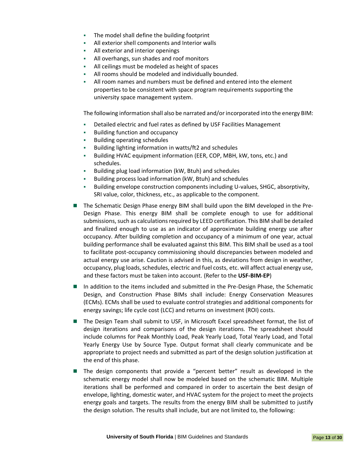- The model shall define the building footprint
- All exterior shell components and Interior walls
- All exterior and interior openings
- All overhangs, sun shades and roof monitors
- All ceilings must be modeled as height of spaces
- All rooms should be modeled and individually bounded.
- All room names and numbers must be defined and entered into the element properties to be consistent with space program requirements supporting the university space management system.

The following information shall also be narrated and/or incorporated into the energy BIM:

- Detailed electric and fuel rates as defined by USF Facilities Management
- Building function and occupancy
- **Building operating schedules**
- Building lighting information in watts/ft2 and schedules
- Building HVAC equipment information (EER, COP, MBH, kW, tons, etc.) and schedules.
- Building plug load information (kW, Btuh) and schedules
- Building process load information (kW, Btuh) and schedules
- Building envelope construction components including U-values, SHGC, absorptivity, SRI value, color, thickness, etc., as applicable to the component.
- The Schematic Design Phase energy BIM shall build upon the BIM developed in the Pre-Design Phase. This energy BIM shall be complete enough to use for additional submissions, such as calculations required by LEED certification. This BIM shall be detailed and finalized enough to use as an indicator of approximate building energy use after occupancy. After building completion and occupancy of a minimum of one year, actual building performance shall be evaluated against this BIM. This BIM shall be used as a tool to facilitate post-occupancy commissioning should discrepancies between modeled and actual energy use arise. Caution is advised in this, as deviations from design in weather, occupancy, plug loads, schedules, electric and fuel costs, etc. will affect actual energy use, and these factors must be taken into account. (Refer to the **USF-BIM-EP**)
- In addition to the items included and submitted in the Pre-Design Phase, the Schematic Design, and Construction Phase BIMs shall include: Energy Conservation Measures (ECMs). ECMs shall be used to evaluate control strategies and additional components for energy savings; life cycle cost (LCC) and returns on investment (ROI) costs.
- The Design Team shall submit to USF, in Microsoft Excel spreadsheet format, the list of design iterations and comparisons of the design iterations. The spreadsheet should include columns for Peak Monthly Load, Peak Yearly Load, Total Yearly Load, and Total Yearly Energy Use by Source Type. Output format shall clearly communicate and be appropriate to project needs and submitted as part of the design solution justification at the end of this phase.
- The design components that provide a "percent better" result as developed in the schematic energy model shall now be modeled based on the schematic BIM. Multiple iterations shall be performed and compared in order to ascertain the best design of envelope, lighting, domestic water, and HVAC system for the project to meet the projects energy goals and targets. The results from the energy BIM shall be submitted to justify the design solution. The results shall include, but are not limited to, the following: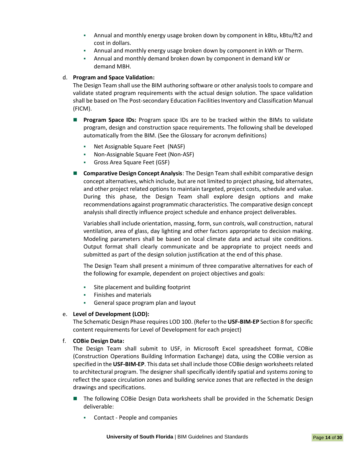- Annual and monthly energy usage broken down by component in kBtu, kBtu/ft2 and cost in dollars.
- Annual and monthly energy usage broken down by component in kWh or Therm.
- Annual and monthly demand broken down by component in demand kW or demand MBH.

### d. **Program and Space Validation:**

The Design Team shall use the BIM authoring software or other analysis tools to compare and validate stated program requirements with the actual design solution. The space validation shall be based on The Post-secondary Education Facilities Inventory and Classification Manual (FICM).

- **Program Space IDs:** Program space IDs are to be tracked within the BIMs to validate program, design and construction space requirements. The following shall be developed automatically from the BIM. (See the Glossary for acronym definitions)
	- Net Assignable Square Feet (NASF)
	- Non-Assignable Square Feet (Non-ASF)
	- Gross Area Square Feet (GSF)
- **Comparative Design Concept Analysis**: The Design Team shall exhibit comparative design concept alternatives, which include, but are not limited to project phasing, bid alternates, and other project related options to maintain targeted, project costs, schedule and value. During this phase, the Design Team shall explore design options and make recommendations against programmatic characteristics. The comparative design concept analysis shall directly influence project schedule and enhance project deliverables.

Variables shall include orientation, massing, form, sun controls, wall construction, natural ventilation, area of glass, day lighting and other factors appropriate to decision making. Modeling parameters shall be based on local climate data and actual site conditions. Output format shall clearly communicate and be appropriate to project needs and submitted as part of the design solution justification at the end of this phase.

The Design Team shall present a minimum of three comparative alternatives for each of the following for example, dependent on project objectives and goals:

- Site placement and building footprint
- **Finishes and materials**
- General space program plan and layout

# e. **Level of Development (LOD):**

The Schematic Design Phase requires LOD 100. (Refer to the **USF-BIM-EP** Section 8 for specific content requirements for Level of Development for each project)

# f. **COBie Design Data:**

The Design Team shall submit to USF, in Microsoft Excel spreadsheet format, COBie (Construction Operations Building Information Exchange) data, using the COBie version as specified in the **USF-BIM-EP**. This data set shall include those COBie design worksheets related to architectural program. The designer shall specifically identify spatial and systems zoning to reflect the space circulation zones and building service zones that are reflected in the design drawings and specifications.

- The following COBie Design Data worksheets shall be provided in the Schematic Design deliverable:
	- Contact People and companies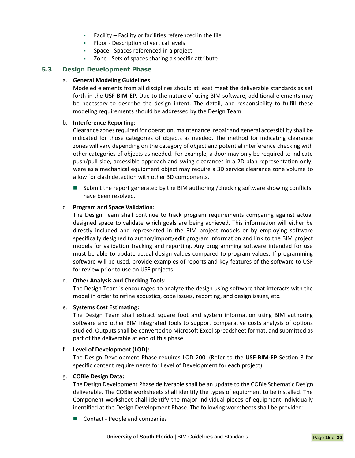- Facility Facility or facilities referenced in the file
- Floor Description of vertical levels
- Space Spaces referenced in a project
- Zone *-* Sets of spaces sharing a specific attribute

#### **5.3 Design Development Phase**

#### a. **General Modeling Guidelines:**

Modeled elements from all disciplines should at least meet the deliverable standards as set forth in the **USF-BIM-EP**. Due to the nature of using BIM software, additional elements may be necessary to describe the design intent. The detail, and responsibility to fulfill these modeling requirements should be addressed by the Design Team.

#### b. **Interference Reporting:**

Clearance zones required for operation, maintenance, repair and general accessibility shall be indicated for those categories of objects as needed. The method for indicating clearance zones will vary depending on the category of object and potential interference checking with other categories of objects as needed. For example, a door may only be required to indicate push/pull side, accessible approach and swing clearances in a 2D plan representation only, were as a mechanical equipment object may require a 3D service clearance zone volume to allow for clash detection with other 3D components.

■ Submit the report generated by the BIM authoring / checking software showing conflicts have been resolved.

#### c. **Program and Space Validation:**

The Design Team shall continue to track program requirements comparing against actual designed space to validate which goals are being achieved. This information will either be directly included and represented in the BIM project models or by employing software specifically designed to author/import/edit program information and link to the BIM project models for validation tracking and reporting. Any programming software intended for use must be able to update actual design values compared to program values. If programming software will be used, provide examples of reports and key features of the software to USF for review prior to use on USF projects.

#### d. **Other Analysis and Checking Tools:**

The Design Team is encouraged to analyze the design using software that interacts with the model in order to refine acoustics, code issues, reporting, and design issues, etc.

#### e. **Systems Cost Estimating:**

The Design Team shall extract square foot and system information using BIM authoring software and other BIM integrated tools to support comparative costs analysis of options studied. Outputs shall be converted to Microsoft Excel spreadsheet format, and submitted as part of the deliverable at end of this phase.

#### f. **Level of Development (LOD):**

The Design Development Phase requires LOD 200. (Refer to the **USF-BIM-EP** Section 8 for specific content requirements for Level of Development for each project)

#### g. **COBie Design Data:**

The Design Development Phase deliverable shall be an update to the COBie Schematic Design deliverable. The COBie worksheets shall identify the types of equipment to be installed. The Component worksheet shall identify the major individual pieces of equipment individually identified at the Design Development Phase. The following worksheets shall be provided:

■ Contact - People and companies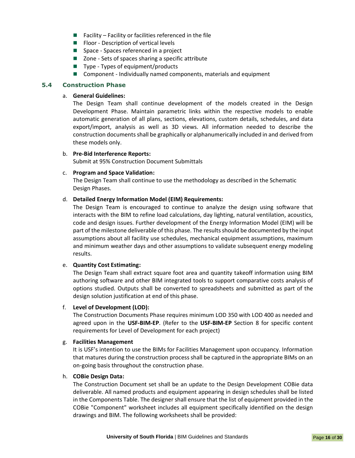- $\blacksquare$  Facility Facility or facilities referenced in the file
- Floor Description of vertical levels
- Space Spaces referenced in a project
- Zone Sets of spaces sharing a specific attribute
- Type Types of equipment/products
- Component *-* Individually named components, materials and equipment

#### **5.4 Construction Phase**

#### a. **General Guidelines:**

The Design Team shall continue development of the models created in the Design Development Phase. Maintain parametric links within the respective models to enable automatic generation of all plans, sections, elevations, custom details, schedules, and data export/import, analysis as well as 3D views. All information needed to describe the construction documents shall be graphically or alphanumerically included in and derived from these models only.

#### b. **Pre-Bid Interference Reports:**

Submit at 95% Construction Document Submittals

#### c. **Program and Space Validation:**

The Design Team shall continue to use the methodology as described in the Schematic Design Phases.

#### d. **Detailed Energy Information Model (EIM) Requirements:**

The Design Team is encouraged to continue to analyze the design using software that interacts with the BIM to refine load calculations, day lighting, natural ventilation, acoustics, code and design issues. Further development of the Energy Information Model (EIM) will be part of the milestone deliverable of this phase. The results should be documented by the input assumptions about all facility use schedules, mechanical equipment assumptions, maximum and minimum weather days and other assumptions to validate subsequent energy modeling results.

# e. **Quantity Cost Estimating:**

The Design Team shall extract square foot area and quantity takeoff information using BIM authoring software and other BIM integrated tools to support comparative costs analysis of options studied. Outputs shall be converted to spreadsheets and submitted as part of the design solution justification at end of this phase.

# f. **Level of Development (LOD):**

The Construction Documents Phase requires minimum LOD 350 with LOD 400 as needed and agreed upon in the **USF-BIM-EP**. (Refer to the **USF-BIM-EP** Section 8 for specific content requirements for Level of Development for each project)

#### g. **Facilities Management**

It is USF's intention to use the BIMs for Facilities Management upon occupancy. Information that matures during the construction process shall be captured in the appropriate BIMs on an on-going basis throughout the construction phase.

#### h. **COBie Design Data:**

The Construction Document set shall be an update to the Design Development COBie data deliverable. All named products and equipment appearing in design schedules shall be listed in the Components Table. The designer shall ensure that the list of equipment provided in the COBie "Component" worksheet includes all equipment specifically identified on the design drawings and BIM. The following worksheets shall be provided: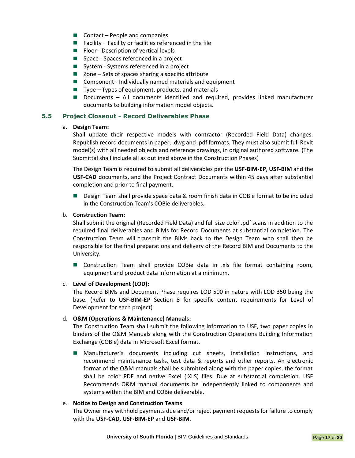- $\blacksquare$  Contact People and companies
- Facility Facility or facilities referenced in the file
- Floor Description of vertical levels
- Space Spaces referenced in a project
- System Systems referenced in a project
- Zone Sets of spaces sharing a specific attribute
- Component Individually named materials and equipment
- Type Types of equipment, products, and materials
- Documents All documents identified and required, provides linked manufacturer documents to building information model objects.

#### **5.5 Project Closeout - Record Deliverables Phase**

#### a. **Design Team:**

Shall update their respective models with contractor (Recorded Field Data) changes. Republish record documents in paper, .dwg and .pdf formats. They must also submit full Revit model(s) with all needed objects and reference drawings, in original authored software. (The Submittal shall include all as outlined above in the Construction Phases)

The Design Team is required to submit all deliverables per the **USF-BIM-EP**, **USF-BIM** and the **USF-CAD** documents, and the Project Contract Documents within 45 days after substantial completion and prior to final payment.

■ Design Team shall provide space data & room finish data in COBie format to be included in the Construction Team's COBie deliverables.

#### b. **Construction Team:**

Shall submit the original (Recorded Field Data) and full size color .pdf scans in addition to the required final deliverables and BIMs for Record Documents at substantial completion. The Construction Team will transmit the BIMs back to the Design Team who shall then be responsible for the final preparations and delivery of the Record BIM and Documents to the University.

■ Construction Team shall provide COBie data in .xls file format containing room, equipment and product data information at a minimum.

#### c. **Level of Development (LOD):**

The Record BIMs and Document Phase requires LOD 500 in nature with LOD 350 being the base. (Refer to **USF-BIM-EP** Section 8 for specific content requirements for Level of Development for each project)

#### d. **O&M (Operations & Maintenance) Manuals:**

The Construction Team shall submit the following information to USF, two paper copies in binders of the O&M Manuals along with the Construction Operations Building Information Exchange (COBie) data in Microsoft Excel format.

■ Manufacturer's documents including cut sheets, installation instructions, and recommend maintenance tasks, test data & reports and other reports. An electronic format of the O&M manuals shall be submitted along with the paper copies, the format shall be color PDF and native Excel (.XLS) files. Due at substantial completion. USF Recommends O&M manual documents be independently linked to components and systems within the BIM and COBie deliverable.

#### e. **Notice to Design and Construction Teams**

The Owner may withhold payments due and/or reject payment requests for failure to comply with the **USF-CAD**, **USF-BIM-EP** and **USF-BIM**.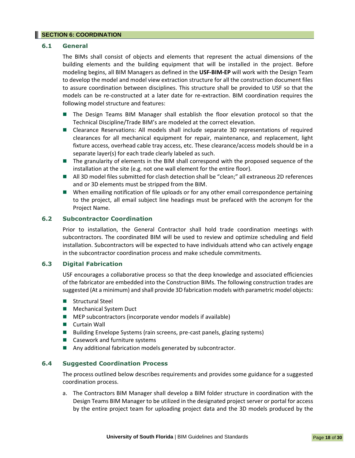#### **SECTION 6: COORDINATION**

# **6.1 General**

The BIMs shall consist of objects and elements that represent the actual dimensions of the building elements and the building equipment that will be installed in the project. Before modeling begins, all BIM Managers as defined in the **USF-BIM-EP** will work with the Design Team to develop the model and model view extraction structure for all the construction document files to assure coordination between disciplines. This structure shall be provided to USF so that the models can be re-constructed at a later date for re-extraction. BIM coordination requires the following model structure and features:

- The Design Teams BIM Manager shall establish the floor elevation protocol so that the Technical Discipline/Trade BIM's are modeled at the correct elevation.
- Clearance Reservations: All models shall include separate 3D representations of required clearances for all mechanical equipment for repair, maintenance, and replacement, light fixture access, overhead cable tray access, etc. These clearance/access models should be in a separate layer(s) for each trade clearly labeled as such.
- The granularity of elements in the BIM shall correspond with the proposed sequence of the installation at the site (e.g. not one wall element for the entire floor).
- All 3D model files submitted for clash detection shall be "clean;" all extraneous 2D references and or 3D elements must be stripped from the BIM.
- When emailing notification of file uploads or for any other email correspondence pertaining to the project, all email subject line headings must be prefaced with the acronym for the Project Name.

#### **6.2 Subcontractor Coordination**

Prior to installation, the General Contractor shall hold trade coordination meetings with subcontractors. The coordinated BIM will be used to review and optimize scheduling and field installation. Subcontractors will be expected to have individuals attend who can actively engage in the subcontractor coordination process and make schedule commitments.

#### **6.3 Digital Fabrication**

USF encourages a collaborative process so that the deep knowledge and associated efficiencies of the fabricator are embedded into the Construction BIMs. The following construction trades are suggested (At a minimum) and shall provide 3D fabrication models with parametric model objects:

- Structural Steel
- Mechanical System Duct
- MEP subcontractors (incorporate vendor models if available)
- Curtain Wall
- Building Envelope Systems (rain screens, pre-cast panels, glazing systems)
- Casework and furniture systems
- Any additional fabrication models generated by subcontractor.

#### **6.4 Suggested Coordination Process**

The process outlined below describes requirements and provides some guidance for a suggested coordination process.

a. The Contractors BIM Manager shall develop a BIM folder structure in coordination with the Design Teams BIM Manager to be utilized in the designated project server or portal for access by the entire project team for uploading project data and the 3D models produced by the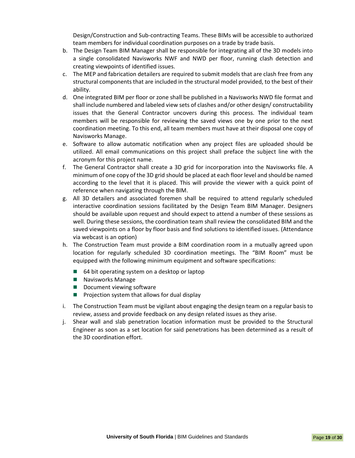Design/Construction and Sub-contracting Teams. These BIMs will be accessible to authorized team members for individual coordination purposes on a trade by trade basis.

- b. The Design Team BIM Manager shall be responsible for integrating all of the 3D models into a single consolidated Navisworks NWF and NWD per floor, running clash detection and creating viewpoints of identified issues.
- c. The MEP and fabrication detailers are required to submit models that are clash free from any structural components that are included in the structural model provided, to the best of their ability.
- d. One integrated BIM per floor or zone shall be published in a Navisworks NWD file format and shall include numbered and labeled view sets of clashes and/or other design/ constructability issues that the General Contractor uncovers during this process. The individual team members will be responsible for reviewing the saved views one by one prior to the next coordination meeting. To this end, all team members must have at their disposal one copy of Navisworks Manage.
- e. Software to allow automatic notification when any project files are uploaded should be utilized. All email communications on this project shall preface the subject line with the acronym for this project name.
- f. The General Contractor shall create a 3D grid for incorporation into the Navisworks file. A minimum of one copy of the 3D grid should be placed at each floor level and should be named according to the level that it is placed. This will provide the viewer with a quick point of reference when navigating through the BIM.
- g. All 3D detailers and associated foremen shall be required to attend regularly scheduled interactive coordination sessions facilitated by the Design Team BIM Manager. Designers should be available upon request and should expect to attend a number of these sessions as well. During these sessions, the coordination team shall review the consolidated BIM and the saved viewpoints on a floor by floor basis and find solutions to identified issues. (Attendance via webcast is an option)
- h. The Construction Team must provide a BIM coordination room in a mutually agreed upon location for regularly scheduled 3D coordination meetings. The "BIM Room" must be equipped with the following minimum equipment and software specifications:
	- 64 bit operating system on a desktop or laptop
	- Navisworks Manage
	- Document viewing software
	- Projection system that allows for dual display
- i. The Construction Team must be vigilant about engaging the design team on a regular basis to review, assess and provide feedback on any design related issues as they arise.
- j. Shear wall and slab penetration location information must be provided to the Structural Engineer as soon as a set location for said penetrations has been determined as a result of the 3D coordination effort.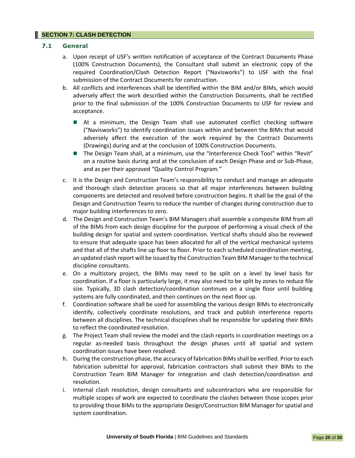#### **SECTION 7: CLASH DETECTION**

# **7.1 General**

- a. Upon receipt of USF's written notification of acceptance of the Contract Documents Phase (100% Construction Documents), the Consultant shall submit an electronic copy of the required Coordination/Clash Detection Report ("Navisworks") to USF with the final submission of the Contract Documents for construction.
- b. All conflicts and interferences shall be identified within the BIM and/or BIMs, which would adversely affect the work described within the Construction Documents, shall be rectified prior to the final submission of the 100% Construction Documents to USF for review and acceptance.
	- At a minimum, the Design Team shall use automated conflict checking software ("Navisworks") to identify coordination issues within and between the BIMs that would adversely affect the execution of the work required by the Contract Documents (Drawings) during and at the conclusion of 100% Construction Documents.
	- The Design Team shall, at a minimum, use the "Interference Check Tool" within "Revit" on a routine basis during and at the conclusion of each Design Phase and or Sub-Phase, and as per their approved "Quality Control Program."
- c. It is the Design and Construction Team's responsibility to conduct and manage an adequate and thorough clash detection process so that all major interferences between building components are detected and resolved before construction begins. It shall be the goal of the Design and Construction Teams to reduce the number of changes during construction due to major building interferences to zero.
- d. The Design and Construction Team's BIM Managers shall assemble a composite BIM from all of the BIMs from each design discipline for the purpose of performing a visual check of the building design for spatial and system coordination. Vertical shafts should also be reviewed to ensure that adequate space has been allocated for all of the vertical mechanical systems and that all of the shafts line up floor to floor. Prior to each scheduled coordination meeting, an updated clash report will be issued by the Construction Team BIM Manager to the technical discipline consultants.
- e. On a multistory project, the BIMs may need to be split on a level by level basis for coordination. If a floor is particularly large, it may also need to be split by zones to reduce file size. Typically, 3D clash detection/coordination continues on a single floor until building systems are fully coordinated, and then continues on the next floor up.
- f. Coordination software shall be used for assembling the various design BIMs to electronically identify, collectively coordinate resolutions, and track and publish interference reports between all disciplines. The technical disciplines shall be responsible for updating their BIMs to reflect the coordinated resolution.
- g. The Project Team shall review the model and the clash reports in coordination meetings on a regular as-needed basis throughout the design phases until all spatial and system coordination issues have been resolved.
- h. During the construction phase, the accuracy of fabrication BIMs shall be verified. Prior to each fabrication submittal for approval, fabrication contractors shall submit their BIMs to the Construction Team BIM Manager for integration and clash detection/coordination and resolution.
- i. Internal clash resolution, design consultants and subcontractors who are responsible for multiple scopes of work are expected to coordinate the clashes between those scopes prior to providing those BIMs to the appropriate Design/Construction BIM Manager for spatial and system coordination.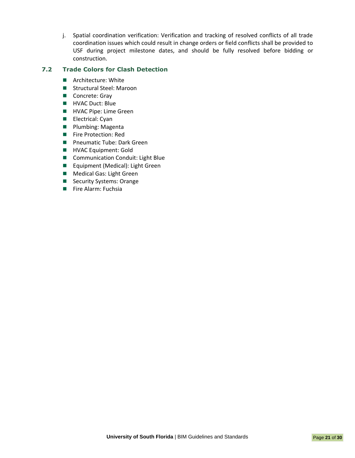j. Spatial coordination verification: Verification and tracking of resolved conflicts of all trade coordination issues which could result in change orders or field conflicts shall be provided to USF during project milestone dates, and should be fully resolved before bidding or construction.

### **7.2 Trade Colors for Clash Detection**

- Architecture: White
- Structural Steel: Maroon
- Concrete: Gray
- HVAC Duct: Blue
- HVAC Pipe: Lime Green
- Electrical: Cyan
- Plumbing: Magenta
- Fire Protection: Red
- Pneumatic Tube: Dark Green
- HVAC Equipment: Gold
- Communication Conduit: Light Blue
- Equipment (Medical): Light Green
- Medical Gas: Light Green
- Security Systems: Orange
- Fire Alarm: Fuchsia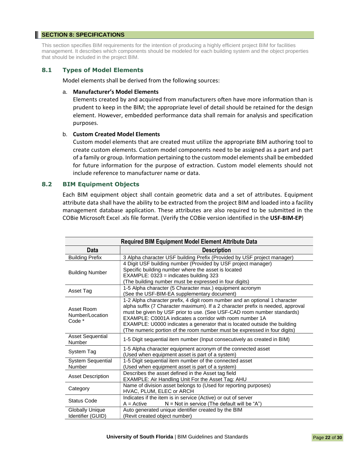#### **SECTION 8: SPECIFICATIONS**

This section specifies BIM requirements for the intention of producing a highly efficient project BIM for facilities management. It describes which components should be modeled for each building system and the object properties that should be included in the project BIM.

### **8.1 Types of Model Elements**

Model elements shall be derived from the following sources:

#### a. **Manufacturer's Model Elements**

Elements created by and acquired from manufacturers often have more information than is prudent to keep in the BIM; the appropriate level of detail should be retained for the design element. However, embedded performance data shall remain for analysis and specification purposes.

#### b. **Custom Created Model Elements**

Custom model elements that are created must utilize the appropriate BIM authoring tool to create custom elements. Custom model components need to be assigned as a part and part of a family or group. Information pertaining to the custom model elementsshall be embedded for future information for the purpose of extraction. Custom model elements should not include reference to manufacturer name or data.

#### **8.2 BIM Equipment Objects**

Each BIM equipment object shall contain geometric data and a set of attributes. Equipment attribute data shall have the ability to be extracted from the project BIM and loaded into a facility management database application. These attributes are also required to be submitted in the COBie Microsoft Excel .xls file format. (Verify the COBie version identified in the **USF-BIM-EP**)

| <b>Required BIM Equipment Model Element Attribute Data</b> |                                                                                                                                                                                                                                                                                                                                                                                                                                                                |  |
|------------------------------------------------------------|----------------------------------------------------------------------------------------------------------------------------------------------------------------------------------------------------------------------------------------------------------------------------------------------------------------------------------------------------------------------------------------------------------------------------------------------------------------|--|
| Data                                                       | <b>Description</b>                                                                                                                                                                                                                                                                                                                                                                                                                                             |  |
| <b>Building Prefix</b>                                     | 3 Alpha character USF building Prefix (Provided by USF project manager)                                                                                                                                                                                                                                                                                                                                                                                        |  |
| <b>Building Number</b>                                     | 4 Digit USF building number (Provided by USF project manager)<br>Specific building number where the asset is located<br>EXAMPLE: 0323 = indicates building 323<br>(The building number must be expressed in four digits)                                                                                                                                                                                                                                       |  |
| Asset Tag                                                  | 1-5 Alpha character (5 Character max.) equipment acronym<br>(See the USF-BIM-EA supplementary document)                                                                                                                                                                                                                                                                                                                                                        |  |
| Asset Room<br>Number/Location<br>Code *                    | 1-2 Alpha character prefix, 4 digit room number and an optional 1 character<br>alpha suffix (7 Character maximum). If a 2 character prefix is needed, approval<br>must be given by USF prior to use. (See USF-CAD room number standards)<br>EXAMPLE: C0001A indicates a corridor with room number 1A<br>EXAMPLE: U0000 indicates a generator that is located outside the building<br>(The numeric portion of the room number must be expressed in four digits) |  |
| <b>Asset Sequential</b><br>Number                          | 1-5 Digit sequential item number (Input consecutively as created in BIM)                                                                                                                                                                                                                                                                                                                                                                                       |  |
| System Tag                                                 | 1-5 Alpha character equipment acronym of the connected asset<br>(Used when equipment asset is part of a system)                                                                                                                                                                                                                                                                                                                                                |  |
| <b>System Sequential</b><br>Number                         | 1-5 Digit sequential item number of the connected asset<br>(Used when equipment asset is part of a system)                                                                                                                                                                                                                                                                                                                                                     |  |
| <b>Asset Description</b>                                   | Describes the asset defined in the Asset tag field<br>EXAMPLE: Air Handling Unit For the Asset Tag: AHU                                                                                                                                                                                                                                                                                                                                                        |  |
| Category                                                   | Name of division asset belongs to (Used for reporting purposes)<br>HVAC, PLUM, ELEC or ARCH                                                                                                                                                                                                                                                                                                                                                                    |  |
| Status Code                                                | Indicates if the item is in service (Active) or out of server<br>$N = Not$ in service (The default will be "A")<br>$A = Active$                                                                                                                                                                                                                                                                                                                                |  |
| <b>Globally Unique</b><br>Identifier (GUID)                | Auto generated unique identifier created by the BIM<br>(Revit created obiect number)                                                                                                                                                                                                                                                                                                                                                                           |  |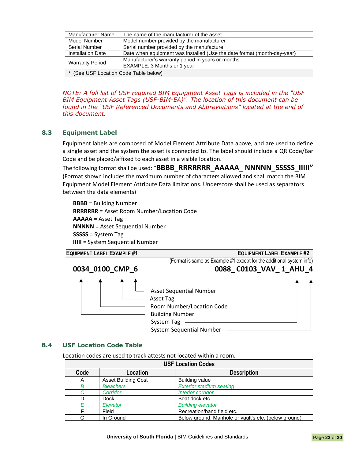| Manufacturer Name                     | The name of the manufacturer of the asset                               |
|---------------------------------------|-------------------------------------------------------------------------|
| Model Number                          | Model number provided by the manufacturer                               |
| Serial Number                         | Serial number provided by the manufacture                               |
| <b>Installation Date</b>              | Date when equipment was installed (Use the date format (month-day-year) |
| <b>Warranty Period</b>                | Manufacturer's warranty period in years or months                       |
|                                       | EXAMPLE: 3 Months or 1 year                                             |
| * (See USF Location Code Table below) |                                                                         |

*NOTE: A full list of USF required BIM Equipment Asset Tags is included in the "USF BIM Equipment Asset Tags (USF-BIM-EA)". The location of this document can be found in the "USF Referenced Documents and Abbreviations" located at the end of this document.*

# **8.3 Equipment Label**

Equipment labels are composed of Model Element Attribute Data above, and are used to define a single asset and the system the asset is connected to. The label should include a QR Code/Bar Code and be placed/affixed to each asset in a visible location.

The following format shall be used: "**BBBB\_RRRRRRR\_AAAAA\_ NNNNN\_SSSSS\_IIIII"** (Format shown includes the maximum number of characters allowed and shall match the BIM Equipment Model Element Attribute Data limitations. Underscore shall be used as separators between the data elements)

**BBBB** = Building Number **RRRRRRR =** Asset Room Number/Location Code **AAAAA** = Asset Tag **NNNNN** = Asset Sequential Number **SSSSS** = System Tag **IIIII** = System Sequential Number



# **8.4 USF Location Code Table**

Location codes are used to track attests not located within a room.

| <b>USF Location Codes</b> |                            |                                                      |  |
|---------------------------|----------------------------|------------------------------------------------------|--|
| Code                      | Location                   | <b>Description</b>                                   |  |
| A                         | <b>Asset Building Cost</b> | <b>Building value</b>                                |  |
|                           | <b>Bleachers</b>           | <b>Exterior stadium seating</b>                      |  |
|                           | Corridor                   | Interior corridor                                    |  |
|                           | Dock                       | Boat dock etc.                                       |  |
|                           | Elevator                   | <b>Building elevator</b>                             |  |
|                           | Field                      | Recreation/band field etc.                           |  |
| G                         | In Ground                  | Below ground, Manhole or vault's etc. (below ground) |  |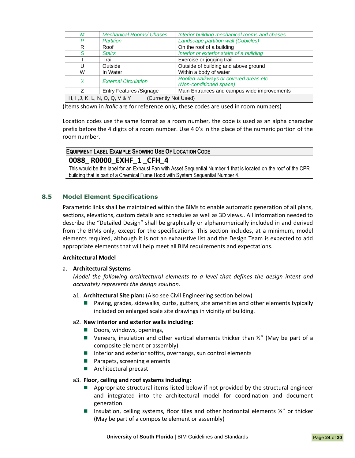| м                                                      | <b>Mechanical Rooms/ Chases</b> | Interior building mechanical rooms and chases                    |  |
|--------------------------------------------------------|---------------------------------|------------------------------------------------------------------|--|
|                                                        | Partition                       | Landscape partition wall (Cubicles)                              |  |
| R                                                      | Roof                            | On the roof of a building                                        |  |
|                                                        | <b>Stairs</b>                   | Interior or exterior stairs of a building                        |  |
|                                                        | Trail                           | Exercise or jogging trail                                        |  |
|                                                        | Outside                         | Outside of building and above ground                             |  |
| W                                                      | In Water                        | Within a body of water                                           |  |
| X                                                      | <b>External Circulation</b>     | Roofed walkways or covered areas etc.<br>(Non-conditioned space) |  |
|                                                        | <b>Entry Features / Signage</b> | Main Entrances and campus wide improvements                      |  |
| (Currently Not Used)<br>H, I , J, K, L, N, O, Q, V & Y |                                 |                                                                  |  |

(Items shown in *Italic* are for reference only, these codes are used in room numbers)

Location codes use the same format as a room number, the code is used as an alpha character prefix before the 4 digits of a room number. Use 4 0's in the place of the numeric portion of the room number.

#### **EQUIPMENT LABEL EXAMPLE SHOWING USE OF LOCATION CODE**

# **0088\_ R0000\_EXHF\_1 \_CFH\_4**

This would be the label for an Exhaust Fan with Asset Sequential Number 1 that is located on the roof of the CPR building that is part of a Chemical Fume Hood with System Sequential Number 4.

# **8.5 Model Element Specifications**

Parametric links shall be maintained within the BIMs to enable automatic generation of all plans, sections, elevations, custom details and schedules as well as 3D views.. All information needed to describe the "Detailed Design" shall be graphically or alphanumerically included in and derived from the BIMs only, except for the specifications. This section includes, at a minimum, model elements required, although it is not an exhaustive list and the Design Team is expected to add appropriate elements that will help meet all BIM requirements and expectations.

#### **Architectural Model**

#### a. **Architectural Systems**

*Model the following architectural elements to a level that defines the design intent and accurately represents the design solution.*

a1. **Architectural Site plan:** (Also see Civil Engineering section below)

Paving, grades, sidewalks, curbs, gutters, site amenities and other elements typically included on enlarged scale site drawings in vicinity of building.

# a2. **New interior and exterior walls including:**

- Doors, windows, openings,
- **■** Veneers, insulation and other vertical elements thicker than  $\frac{1}{2}$ " (May be part of a composite element or assembly)
- Interior and exterior soffits, overhangs, sun control elements
- Parapets, screening elements
- Architectural precast

#### a3. **Floor, ceiling and roof systems including:**

- Appropriate structural items listed below if not provided by the structural engineer and integrated into the architectural model for coordination and document generation.
- **■** Insulation, ceiling systems, floor tiles and other horizontal elements  $\frac{y}{z}$  or thicker (May be part of a composite element or assembly)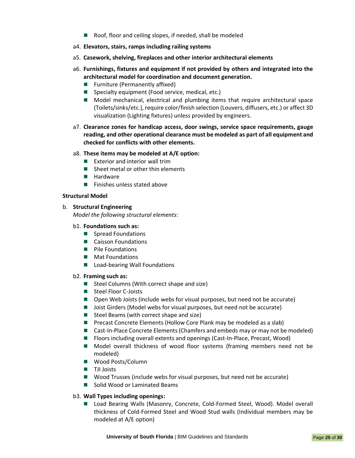- Roof, floor and ceiling slopes, if needed, shall be modeled
- a4. **Elevators, stairs, ramps including railing systems**
- a5. **Casework, shelving, fireplaces and other interior architectural elements**
- a6. **Furnishings, fixtures and equipment if not provided by others and integrated into the architectural model for coordination and document generation.**
	- Furniture (Permanently affixed)
	- Specialty equipment (Food service, medical, etc.)
	- Model mechanical, electrical and plumbing items that require architectural space (Toilets/sinks/etc.), require color/finish selection (Louvers, diffusers, etc.) or affect 3D visualization (Lighting fixtures) unless provided by engineers.
- a7. **Clearance zones for handicap access, door swings, service space requirements, gauge reading, and other operational clearance must be modeled as part of all equipment and checked for conflicts with other elements.**

#### a8. **These items may be modeled at A/E option:**

- Exterior and interior wall trim
- Sheet metal or other thin elements
- Hardware
- Finishes unless stated above

#### **Structural Model**

#### b. **Structural Engineering**

*Model the following structural elements*:

#### b1. **Foundations such as:**

- Spread Foundations
- Caisson Foundations
- Pile Foundations
- Mat Foundations
- Load-bearing Wall Foundations

#### b2. **Framing such as:**

- Steel Columns (With correct shape and size)
- Steel Floor C-Joists
- Open Web Joists (Include webs for visual purposes, but need not be accurate)
- Joist Girders (Model webs for visual purposes, but need not be accurate)
- Steel Beams (with correct shape and size)
- Precast Concrete Elements (Hollow Core Plank may be modeled as a slab)
- Cast-In-Place Concrete Elements (Chamfers and embeds may or may not be modeled)
- Floors including overall extents and openings (Cast-In-Place, Precast, Wood)
- Model overall thickness of wood floor systems (framing members need not be modeled)
- Wood Posts/Column
- TJI Joists
- Wood Trusses (include webs for visual purposes, but need not be accurate)
- Solid Wood or Laminated Beams

#### b3. **Wall Types including openings:**

■ Load Bearing Walls (Masonry, Concrete, Cold-Formed Steel, Wood). Model overall thickness of Cold-Formed Steel and Wood Stud walls (Individual members may be modeled at A/E option)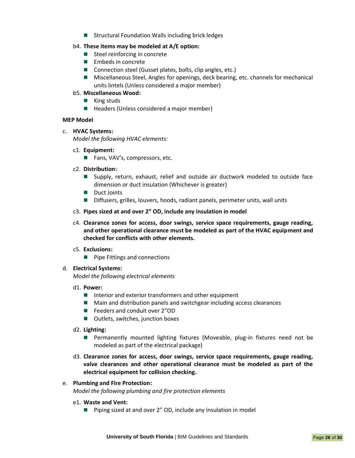■ Structural Foundation Walls including brick ledges

# b4. **These items may be modeled at A/E option:**

- Steel reinforcing in concrete
- Embeds in concrete
- Connection steel (Gusset plates, bolts, clip angles, etc.)
- Miscellaneous Steel, Angles for openings, deck bearing, etc. channels for mechanical units lintels (Unless considered a major member)

#### b5. **Miscellaneous Wood:**

- King studs
- Headers (Unless considered a major member)

#### **MEP Model**

#### c. **HVAC Systems:**

*Model the following HVAC elements:*

#### c1. **Equipment:**

- Fans, VAV's, compressors, etc.
- c2. **Distribution:**
	- Supply, return, exhaust, relief and outside air ductwork modeled to outside face dimension or duct insulation (Whichever is greater)
	- Duct Joints
	- Diffusers, grilles, louvers, hoods, radiant panels, perimeter units, wall units
- c3. **Pipes sized at and over 2" OD, include any insulation in model**
- c4. **Clearance zones for access, door swings, service space requirements, gauge reading, and other operational clearance must be modeled as part of the HVAC equipment and checked for conflicts with other elements.**
- c5. **Exclusions:**
	- Pipe Fittings and connections

#### d. **Electrical Systems:**

*Model the following electrical elements*

#### d1. **Power:**

- Interior and exterior transformers and other equipment
- Main and distribution panels and switchgear including access clearances
- Feeders and conduit over 2"OD
- Outlets, switches, junction boxes
- d2. **Lighting:**
	- Permanently mounted lighting fixtures (Moveable, plug-in fixtures need not be modeled as part of the electrical package)
- d3. **Clearance zones for access, door swings, service space requirements, gauge reading, valve clearances and other operational clearance must be modeled as part of the electrical equipment for collision checking.**

#### e. **Plumbing and Fire Protection:**

*Model the following plumbing and fire protection elements*

- e1. **Waste and Vent:**
	- Piping sized at and over 2" OD, include any insulation in model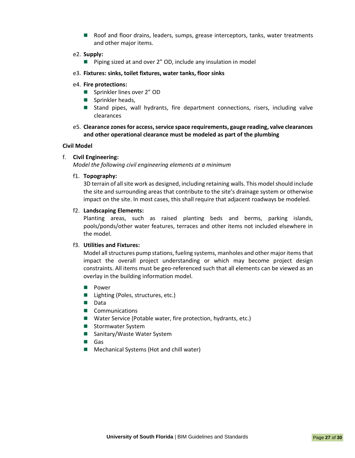Roof and floor drains, leaders, sumps, grease interceptors, tanks, water treatments and other major items.

#### e2. **Supply:**

■ Piping sized at and over 2" OD, include any insulation in model

#### e3. **Fixtures: sinks, toilet fixtures, water tanks, floor sinks**

- e4. **Fire protections:**
	- Sprinkler lines over 2" OD
	- Sprinkler heads,
	- Stand pipes, wall hydrants, fire department connections, risers, including valve clearances
- e5. **Clearance zones for access, service space requirements, gauge reading, valve clearances and other operational clearance must be modeled as part of the plumbing**

#### **Civil Model**

#### f. **Civil Engineering:**

*Model the following civil engineering elements at a minimum*

f1. **Topography:**

3D terrain of all site work as designed, including retaining walls. This model should include the site and surrounding areas that contribute to the site's drainage system or otherwise impact on the site. In most cases, this shall require that adjacent roadways be modeled.

#### f2. **Landscaping Elements:**

Planting areas, such as raised planting beds and berms, parking islands, pools/ponds/other water features, terraces and other items not included elsewhere in the model.

#### f3. **Utilities and Fixtures:**

Model all structures pump stations, fueling systems, manholes and other major items that impact the overall project understanding or which may become project design constraints. All items must be geo-referenced such that all elements can be viewed as an overlay in the building information model.

- Power
- Lighting (Poles, structures, etc.)
- Data
- Communications
- Water Service (Potable water, fire protection, hydrants, etc.)
- Stormwater System
- Sanitary/Waste Water System
- Gas
- Mechanical Systems (Hot and chill water)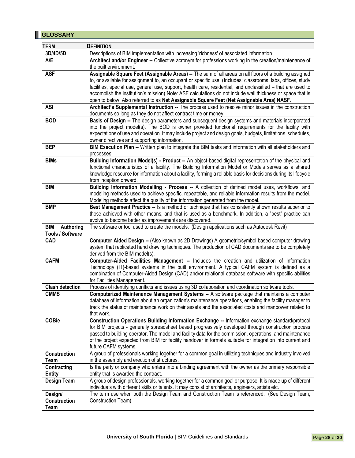# **GLOSSARY**

| <b>TERM</b>                                        | <b>DEFINITION</b>                                                                                                                                                                                                                                                                                                                                                                                                                                                                                                                                  |
|----------------------------------------------------|----------------------------------------------------------------------------------------------------------------------------------------------------------------------------------------------------------------------------------------------------------------------------------------------------------------------------------------------------------------------------------------------------------------------------------------------------------------------------------------------------------------------------------------------------|
| 3D/4D/5D                                           | Descriptions of BIM implementation with increasing 'richness' of associated information.                                                                                                                                                                                                                                                                                                                                                                                                                                                           |
| A/E                                                | Architect and/or Engineer -- Collective acronym for professions working in the creation/maintenance of<br>the built environment.                                                                                                                                                                                                                                                                                                                                                                                                                   |
| <b>ASF</b>                                         | Assignable Square Feet (Assignable Areas) -- The sum of all areas on all floors of a building assigned<br>to, or available for assignment to, an occupant or specific use. (Includes: classrooms, labs, offices, study<br>facilities, special use, general use, support, health care, residential, and unclassified - that are used to<br>accomplish the institution's mission) Note: ASF calculations do not include wall thickness or space that is<br>open to below. Also referred to as Net Assignable Square Feet (Net Assignable Area) NASF. |
| <b>ASI</b>                                         | Architect's Supplemental Instruction -- The process used to resolve minor issues in the construction<br>documents so long as they do not affect contract time or money.                                                                                                                                                                                                                                                                                                                                                                            |
| <b>BOD</b>                                         | Basis of Design -- The design parameters and subsequent design systems and materials incorporated<br>into the project model(s). The BOD is owner provided functional requirements for the facility with<br>expectations of use and operation. It may include project and design goals, budgets, limitations, schedules,<br>owner directives and supporting information.                                                                                                                                                                            |
| <b>BEP</b>                                         | BIM Execution Plan -- Written plan to integrate the BIM tasks and information with all stakeholders and<br>processes.                                                                                                                                                                                                                                                                                                                                                                                                                              |
| <b>BIMs</b>                                        | Building Information Model(s) - Product -- An object-based digital representation of the physical and<br>functional characteristics of a facility. The Building Information Model or Models serves as a shared<br>knowledge resource for information about a facility, forming a reliable basis for decisions during its lifecycle<br>from inception onward.                                                                                                                                                                                       |
| <b>BIM</b>                                         | Building Information Modelling - Process -- A collection of defined model uses, workflows, and<br>modeling methods used to achieve specific, repeatable, and reliable information results from the model.<br>Modeling methods affect the quality of the information generated from the model.                                                                                                                                                                                                                                                      |
| <b>BMP</b>                                         | Best Management Practice -- Is a method or technique that has consistently shown results superior to<br>those achieved with other means, and that is used as a benchmark. In addition, a "best" practice can<br>evolve to become better as improvements are discovered.                                                                                                                                                                                                                                                                            |
| <b>BIM</b><br><b>Authoring</b><br>Tools / Software | The software or tool used to create the models. (Design applications such as Autodesk Revit)                                                                                                                                                                                                                                                                                                                                                                                                                                                       |
| <b>CAD</b>                                         | Computer Aided Design -- (Also known as 2D Drawings) A geometric/symbol based computer drawing<br>system that replicated hand drawing techniques. The production of CAD documents are to be completely<br>derived from the BIM model(s).                                                                                                                                                                                                                                                                                                           |
| <b>CAFM</b>                                        | Computer-Aided Facilities Management -- Includes the creation and utilization of Information<br>Technology (IT)-based systems in the built environment. A typical CAFM system is defined as a<br>combination of Computer-Aided Design (CAD) and/or relational database software with specific abilities<br>for Facilities Management.                                                                                                                                                                                                              |
| <b>Clash detection</b>                             | Process of identifying conflicts and issues using 3D collaboration and coordination software tools.                                                                                                                                                                                                                                                                                                                                                                                                                                                |
| <b>CMMS</b>                                        | Computerized Maintenance Management Systems -- A software package that maintains a computer<br>database of information about an organization's maintenance operations, enabling the facility manager to<br>track the status of maintenance work on their assets and the associated costs and manpower related to<br>that work.                                                                                                                                                                                                                     |
| <b>COBie</b>                                       | Construction Operations Building Information Exchange -- Information exchange standard/protocol<br>for BIM projects - generally spreadsheet based progressively developed through construction process<br>passed to building operator. The model and facility data for the commission, operations, and maintenance<br>of the project expected from BIM for facility handover in formats suitable for integration into current and<br>future CAFM systems.                                                                                          |
| Construction<br>Team                               | A group of professionals working together for a common goal in utilizing techniques and industry involved<br>in the assembly and erection of structures.                                                                                                                                                                                                                                                                                                                                                                                           |
| Contracting<br><b>Entity</b>                       | Is the party or company who enters into a binding agreement with the owner as the primary responsible<br>entity that is awarded the contract.                                                                                                                                                                                                                                                                                                                                                                                                      |
| <b>Design Team</b>                                 | A group of design professionals, working together for a common goal or purpose. It is made up of different<br>individuals with different skills or talents. It may consist of architects, engineers, artists etc.                                                                                                                                                                                                                                                                                                                                  |
| Design/<br>Construction<br>Team                    | The term use when both the Design Team and Construction Team is referenced. (See Design Team,<br>Construction Team)                                                                                                                                                                                                                                                                                                                                                                                                                                |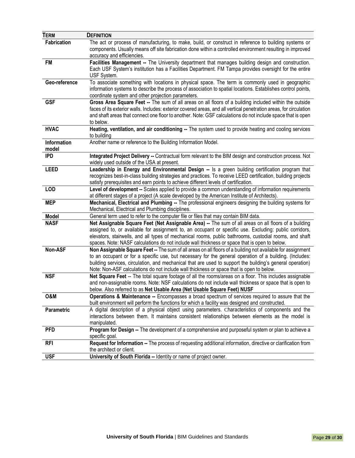| TERM               | <b>DEFINITION</b>                                                                                                                                                                                                    |
|--------------------|----------------------------------------------------------------------------------------------------------------------------------------------------------------------------------------------------------------------|
| <b>Fabrication</b> | The act or process of manufacturing, to make, build, or construct in reference to building systems or                                                                                                                |
|                    | components. Usually means off site fabrication done within a controlled environment resulting in improved                                                                                                            |
|                    | accuracy and efficiencies.                                                                                                                                                                                           |
| <b>FM</b>          | Facilities Management -- The University department that manages building design and construction.                                                                                                                    |
|                    | Each USF System's institution has a Facilities Department. FM Tampa provides oversight for the entire<br>USF System.                                                                                                 |
| Geo-reference      | To associate something with locations in physical space. The term is commonly used in geographic                                                                                                                     |
|                    | information systems to describe the process of association to spatial locations. Establishes control points,                                                                                                         |
|                    | coordinate system and other projection parameters.                                                                                                                                                                   |
| <b>GSF</b>         | Gross Area Square Feet -- The sum of all areas on all floors of a building included within the outside                                                                                                               |
|                    | faces of its exterior walls. Includes: exterior covered areas, and all vertical penetration areas, for circulation                                                                                                   |
|                    | and shaft areas that connect one floor to another. Note: GSF calculations do not include space that is open                                                                                                          |
|                    | to below.                                                                                                                                                                                                            |
| <b>HVAC</b>        | Heating, ventilation, and air conditioning -- The system used to provide heating and cooling services                                                                                                                |
| Information        | to building<br>Another name or reference to the Building Information Model.                                                                                                                                          |
| model              |                                                                                                                                                                                                                      |
| <b>IPD</b>         | Integrated Project Delivery -- Contractual form relevant to the BIM design and construction process. Not                                                                                                             |
|                    | widely used outside of the USA at present.                                                                                                                                                                           |
| <b>LEED</b>        | Leadership in Energy and Environmental Design -- Is a green building certification program that                                                                                                                      |
|                    | recognizes best-in-class building strategies and practices. To receive LEED certification, building projects                                                                                                         |
|                    | satisfy prerequisites and earn points to achieve different levels of certification.                                                                                                                                  |
| <b>LOD</b>         | Level of development -- Scales applied to provide a common understanding of information requirements                                                                                                                 |
| <b>MEP</b>         | at different stages of a project (A scale developed by the American Institute of Architects).<br>Mechanical, Electrical and Plumbing -- The professional engineers designing the building systems for                |
|                    | Mechanical, Electrical and Plumbing disciplines.                                                                                                                                                                     |
| Model              | General term used to refer to the computer file or files that may contain BIM data.                                                                                                                                  |
| <b>NASF</b>        | Net Assignable Square Feet (Net Assignable Area) -- The sum of all areas on all floors of a building                                                                                                                 |
|                    | assigned to, or available for assignment to, an occupant or specific use. Excluding: public corridors,                                                                                                               |
|                    | elevators, stairwells, and all types of mechanical rooms, public bathrooms, custodial rooms, and shaft                                                                                                               |
|                    | spaces. Note: NASF calculations do not include wall thickness or space that is open to below.                                                                                                                        |
| Non-ASF            | Non Assignable Square Feet -- The sum of all areas on all floors of a building not available for assignment                                                                                                          |
|                    | to an occupant or for a specific use, but necessary for the general operation of a building. (Includes:<br>building services, circulation, and mechanical that are used to support the building's general operation) |
|                    | Note: Non-ASF calculations do not include wall thickness or space that is open to below.                                                                                                                             |
| <b>NSF</b>         | Net Square Feet -- The total square footage of all the rooms/areas on a floor. This includes assignable                                                                                                              |
|                    | and non-assignable rooms. Note: NSF calculations do not include wall thickness or space that is open to                                                                                                              |
|                    | below. Also referred to as Net Usable Area (Net Usable Square Feet) NUSF                                                                                                                                             |
| <b>O&amp;M</b>     | <b>Operations &amp; Maintenance --</b> Encompasses a broad spectrum of services required to assure that the                                                                                                          |
|                    | built environment will perform the functions for which a facility was designed and constructed.                                                                                                                      |
| <b>Parametric</b>  | A digital description of a physical object using parameters. Characteristics of components and the                                                                                                                   |
|                    | interactions between them. It maintains consistent relationships between elements as the model is<br>manipulated.                                                                                                    |
| <b>PFD</b>         | Program for Design -- The development of a comprehensive and purposeful system or plan to achieve a                                                                                                                  |
|                    | specific goal.                                                                                                                                                                                                       |
| <b>RFI</b>         | Request for Information -- The process of requesting additional information, directive or clarification from                                                                                                         |
|                    | the architect or client.                                                                                                                                                                                             |
| <b>USF</b>         | University of South Florida -- Identity or name of project owner.                                                                                                                                                    |